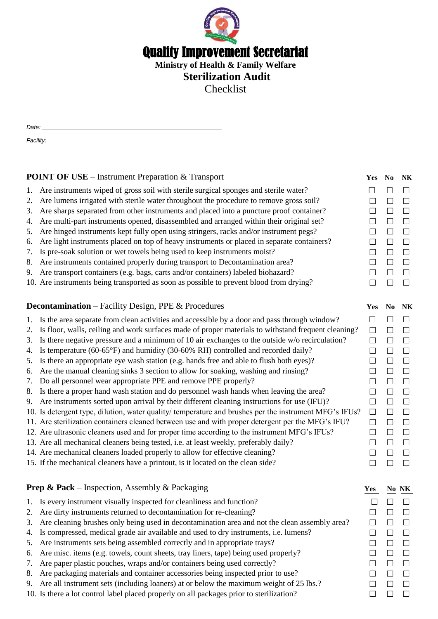

Checklist

| Date:     |  |  |  |
|-----------|--|--|--|
|           |  |  |  |
| Facility: |  |  |  |

|                                                                   | <b>POINT OF USE</b> – Instrument Preparation & Transport                                                  | Yes No |        | <b>NK</b> |
|-------------------------------------------------------------------|-----------------------------------------------------------------------------------------------------------|--------|--------|-----------|
|                                                                   | Are instruments wiped of gross soil with sterile surgical sponges and sterile water?<br>1.                | П      | П      | $\Box$    |
|                                                                   | Are lumens irrigated with sterile water throughout the procedure to remove gross soil?<br>2.              | П      | П      | $\Box$    |
|                                                                   | Are sharps separated from other instruments and placed into a puncture proof container?<br>3.             | П      | $\Box$ | $\Box$    |
|                                                                   | Are multi-part instruments opened, disassembled and arranged within their original set?<br>4.             | $\Box$ | $\Box$ | $\Box$    |
|                                                                   | Are hinged instruments kept fully open using stringers, racks and/or instrument pegs?<br>5.               | $\Box$ | $\Box$ | $\Box$    |
|                                                                   | Are light instruments placed on top of heavy instruments or placed in separate containers?<br>6.          | $\Box$ | $\Box$ | $\Box$    |
|                                                                   | Is pre-soak solution or wet towels being used to keep instruments moist?<br>7.                            | $\Box$ | $\Box$ | $\Box$    |
|                                                                   | Are instruments contained properly during transport to Decontamination area?<br>8.                        | $\Box$ | $\Box$ | $\Box$    |
|                                                                   | Are transport containers (e.g. bags, carts and/or containers) labeled biohazard?<br>9.                    | $\Box$ | $\Box$ | $\Box$    |
|                                                                   | 10. Are instruments being transported as soon as possible to prevent blood from drying?                   | П      | $\Box$ | $\Box$    |
|                                                                   |                                                                                                           |        |        |           |
| <b>Decontamination</b> – Facility Design, PPE & Procedures<br>Yes |                                                                                                           |        |        |           |
|                                                                   | Is the area separate from clean activities and accessible by a door and pass through window?<br>1.        | $\Box$ | П      | $\Box$    |
|                                                                   | Is floor, walls, ceiling and work surfaces made of proper materials to withstand frequent cleaning?<br>2. | $\Box$ | $\Box$ | $\Box$    |
|                                                                   | Is there negative pressure and a minimum of 10 air exchanges to the outside w/o recirculation?<br>3.      | $\Box$ | $\Box$ | $\Box$    |
|                                                                   | Is temperature (60-65°F) and humidity (30-60% RH) controlled and recorded daily?<br>4.                    | $\Box$ | $\Box$ | $\Box$    |
|                                                                   | Is there an appropriate eye wash station (e.g. hands free and able to flush both eyes)?<br>5.             | $\Box$ | $\Box$ | $\Box$    |
|                                                                   | Are the manual cleaning sinks 3 section to allow for soaking, washing and rinsing?<br>6.                  | $\Box$ | $\Box$ | $\Box$    |
|                                                                   | Do all personnel wear appropriate PPE and remove PPE properly?<br>7.                                      | $\Box$ | $\Box$ | $\Box$    |
|                                                                   | Is there a proper hand wash station and do personnel wash hands when leaving the area?<br>8.              | $\Box$ | $\Box$ | $\Box$    |
|                                                                   | Are instruments sorted upon arrival by their different cleaning instructions for use (IFU)?<br>9.         | $\Box$ | $\Box$ | $\Box$    |
|                                                                   | 10. Is detergent type, dilution, water quality/ temperature and brushes per the instrument MFG's IFUs?    | $\Box$ | $\Box$ | $\Box$    |
|                                                                   | 11. Are sterilization containers cleaned between use and with proper detergent per the MFG's IFU?         | $\Box$ | $\Box$ | $\Box$    |
|                                                                   | 12. Are ultrasonic cleaners used and for proper time according to the instrument MFG's IFUs?              | П      | $\Box$ | $\Box$    |
|                                                                   | 13. Are all mechanical cleaners being tested, i.e. at least weekly, preferably daily?                     | $\Box$ | $\Box$ | $\Box$    |
|                                                                   | 14. Are mechanical cleaners loaded properly to allow for effective cleaning?                              | П      | $\Box$ | $\Box$    |

15. If the mechanical cleaners have a printout, is it located on the clean side?  $\square$ 

#### **Prep & Pack** – Inspection, Assembly & Packaging **Yes No NK**

- 1. Is every instrument visually inspected for cleanliness and function?  $\Box$   $\Box$   $\Box$
- 2. Are dirty instruments returned to decontamination for re-cleaning?  $\Box$   $\Box$   $\Box$
- 3. Are cleaning brushes only being used in decontamination area and not the clean assembly area?  $\Box$   $\Box$
- 4. Is compressed, medical grade air available and used to dry instruments, i.e. lumens?
- 5. Are instruments sets being assembled correctly and in appropriate trays?
- 6. Are misc. items (e.g. towels, count sheets, tray liners, tape) being used properly?
- 7. Are paper plastic pouches, wraps and/or containers being used correctly?  $\square$
- 8. Are packaging materials and container accessories being inspected prior to use?  $\Box$   $\Box$   $\Box$
- 9. Are all instrument sets (including loaners) at or below the maximum weight of 25 lbs.?  $\square$
- 10. Is there a lot control label placed properly on all packages prior to sterilization?